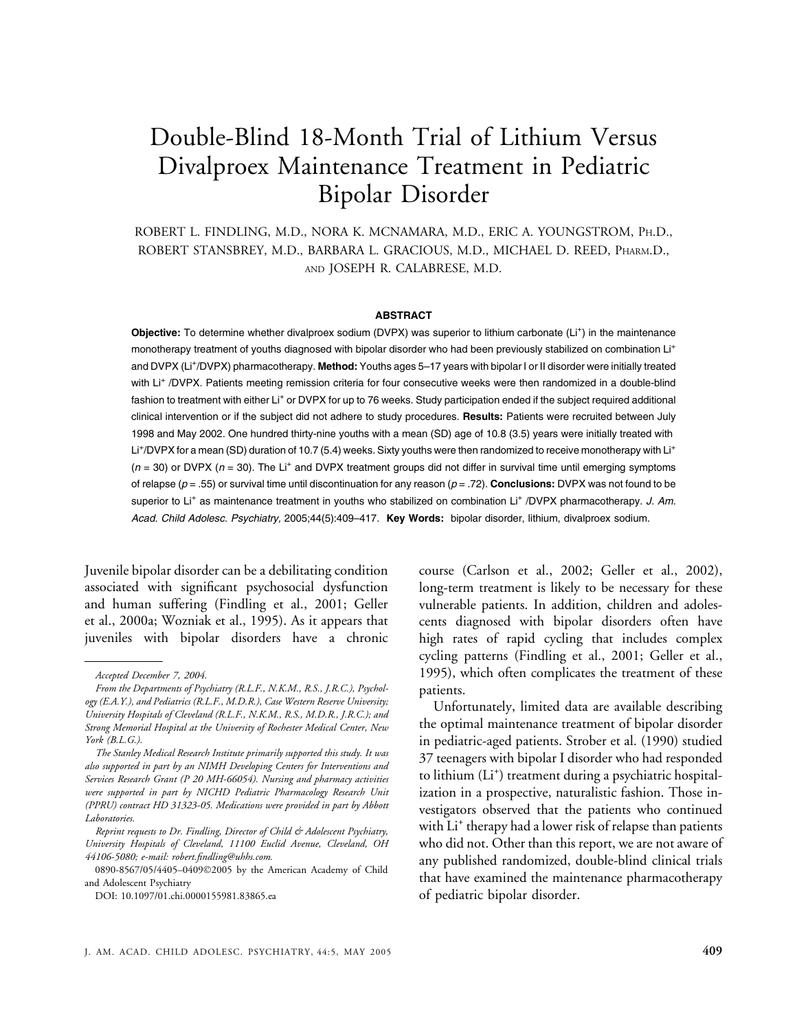# Double-Blind 18-Month Trial of Lithium Versus Divalproex Maintenance Treatment in Pediatric Bipolar Disorder

ROBERT L. FINDLING, M.D., NORA K. MCNAMARA, M.D., ERIC A. YOUNGSTROM, PH.D., ROBERT STANSBREY, M.D., BARBARA L. GRACIOUS, M.D., MICHAEL D. REED, PHARM.D., AND JOSEPH R. CALABRESE, M.D.

#### ABSTRACT

Objective: To determine whether divalproex sodium (DVPX) was superior to lithium carbonate (Li<sup>+</sup>) in the maintenance monotherapy treatment of youths diagnosed with bipolar disorder who had been previously stabilized on combination Li<sup>+</sup> and DVPX (Li<sup>+</sup>/DVPX) pharmacotherapy. **Method:** Youths ages 5–17 years with bipolar I or II disorder were initially treated with Li<sup>+</sup> /DVPX. Patients meeting remission criteria for four consecutive weeks were then randomized in a double-blind fashion to treatment with either Li<sup>+</sup> or DVPX for up to 76 weeks. Study participation ended if the subject required additional clinical intervention or if the subject did not adhere to study procedures. Results: Patients were recruited between July 1998 and May 2002. One hundred thirty-nine youths with a mean (SD) age of 10.8 (3.5) years were initially treated with Li<sup>+</sup>/DVPX for a mean (SD) duration of 10.7 (5.4) weeks. Sixty youths were then randomized to receive monotherapy with Li<sup>+</sup>  $(n = 30)$  or DVPX  $(n = 30)$ . The Li<sup>+</sup> and DVPX treatment groups did not differ in survival time until emerging symptoms of relapse ( $p = .55$ ) or survival time until discontinuation for any reason ( $p = .72$ ). **Conclusions:** DVPX was not found to be superior to Li<sup>+</sup> as maintenance treatment in youths who stabilized on combination Li<sup>+</sup> /DVPX pharmacotherapy. J. Am. Acad. Child Adolesc. Psychiatry, 2005;44(5):409-417. Key Words: bipolar disorder, lithium, divalproex sodium.

Juvenile bipolar disorder can be a debilitating condition associated with significant psychosocial dysfunction and human suffering (Findling et al., 2001; Geller et al., 2000a; Wozniak et al., 1995). As it appears that juveniles with bipolar disorders have a chronic

0890-8567/05/4405–04092005 by the American Academy of Child and Adolescent Psychiatry

course (Carlson et al., 2002; Geller et al., 2002), long-term treatment is likely to be necessary for these vulnerable patients. In addition, children and adolescents diagnosed with bipolar disorders often have high rates of rapid cycling that includes complex cycling patterns (Findling et al., 2001; Geller et al., 1995), which often complicates the treatment of these patients.

Unfortunately, limited data are available describing the optimal maintenance treatment of bipolar disorder in pediatric-aged patients. Strober et al. (1990) studied 37 teenagers with bipolar I disorder who had responded to lithium (Li<sup>+</sup>) treatment during a psychiatric hospitalization in a prospective, naturalistic fashion. Those investigators observed that the patients who continued with Li<sup>+</sup> therapy had a lower risk of relapse than patients who did not. Other than this report, we are not aware of any published randomized, double-blind clinical trials that have examined the maintenance pharmacotherapy of pediatric bipolar disorder.

Accepted December 7, 2004.

From the Departments of Psychiatry (R.L.F., N.K.M., R.S., J.R.C.), Psychology (E.A.Y.), and Pediatrics (R.L.F., M.D.R.), Case Western Reserve University; University Hospitals of Cleveland (R.L.F., N.K.M., R.S., M.D.R., J.R.C.); and Strong Memorial Hospital at the University of Rochester Medical Center, New York (B.L.G.).

The Stanley Medical Research Institute primarily supported this study. It was also supported in part by an NIMH Developing Centers for Interventions and Services Research Grant (P 20 MH-66054). Nursing and pharmacy activities were supported in part by NICHD Pediatric Pharmacology Research Unit (PPRU) contract HD 31323-05. Medications were provided in part by Abbott Laboratories.

Reprint requests to Dr. Findling, Director of Child & Adolescent Psychiatry, University Hospitals of Cleveland, 11100 Euclid Avenue, Cleveland, OH 44106-5080; e-mail: robert.findling@uhhs.com.

DOI: 10.1097/01.chi.0000155981.83865.ea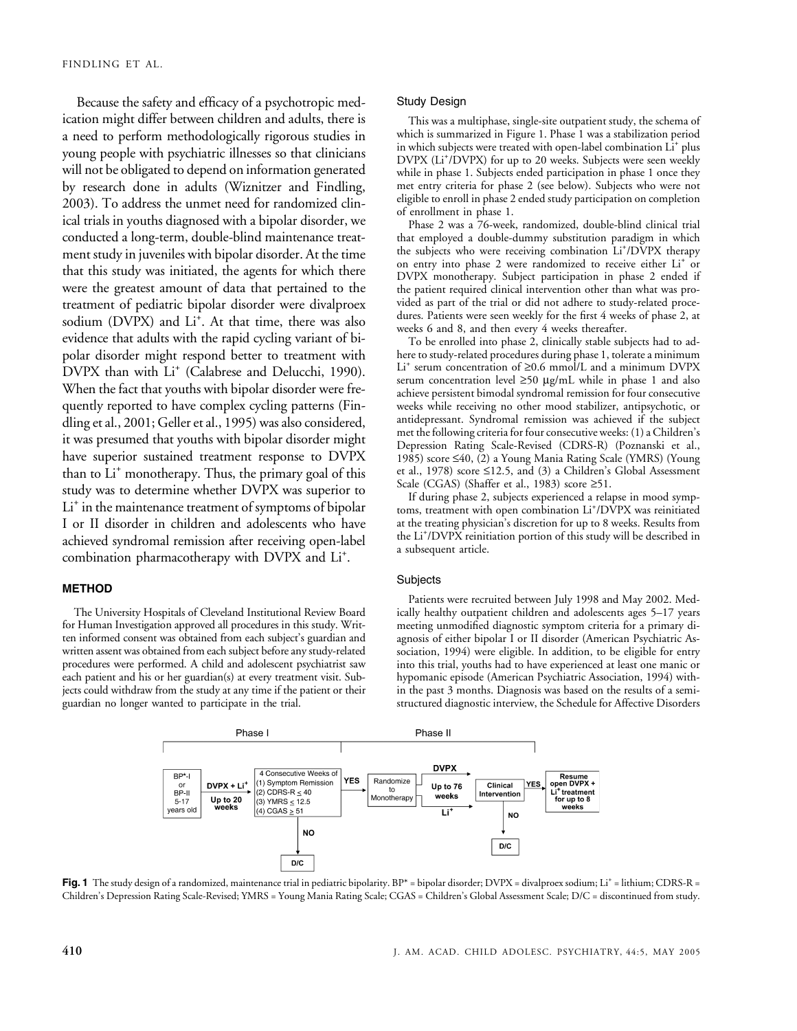Because the safety and efficacy of a psychotropic medication might differ between children and adults, there is a need to perform methodologically rigorous studies in young people with psychiatric illnesses so that clinicians will not be obligated to depend on information generated by research done in adults (Wiznitzer and Findling, 2003). To address the unmet need for randomized clinical trials in youths diagnosed with a bipolar disorder, we conducted a long-term, double-blind maintenance treatment study in juveniles with bipolar disorder. At the time that this study was initiated, the agents for which there were the greatest amount of data that pertained to the treatment of pediatric bipolar disorder were divalproex sodium (DVPX) and Li<sup>+</sup>. At that time, there was also evidence that adults with the rapid cycling variant of bipolar disorder might respond better to treatment with DVPX than with Li<sup>+</sup> (Calabrese and Delucchi, 1990). When the fact that youths with bipolar disorder were frequently reported to have complex cycling patterns (Findling et al., 2001; Geller et al., 1995) was also considered, it was presumed that youths with bipolar disorder might have superior sustained treatment response to DVPX than to Li<sup>+</sup> monotherapy. Thus, the primary goal of this study was to determine whether DVPX was superior to  $Li<sup>+</sup>$  in the maintenance treatment of symptoms of bipolar I or II disorder in children and adolescents who have achieved syndromal remission after receiving open-label combination pharmacotherapy with DVPX and Li<sup>+</sup>.

# **METHOD**

The University Hospitals of Cleveland Institutional Review Board for Human Investigation approved all procedures in this study. Written informed consent was obtained from each subject's guardian and written assent was obtained from each subject before any study-related procedures were performed. A child and adolescent psychiatrist saw each patient and his or her guardian(s) at every treatment visit. Subjects could withdraw from the study at any time if the patient or their guardian no longer wanted to participate in the trial.

#### Study Design

This was a multiphase, single-site outpatient study, the schema of which is summarized in Figure 1. Phase 1 was a stabilization period in which subjects were treated with open-label combination Li<sup>+</sup> plus DVPX (Li<sup>+</sup>/DVPX) for up to 20 weeks. Subjects were seen weekly while in phase 1. Subjects ended participation in phase 1 once they met entry criteria for phase 2 (see below). Subjects who were not eligible to enroll in phase 2 ended study participation on completion of enrollment in phase 1.

Phase 2 was a 76-week, randomized, double-blind clinical trial that employed a double-dummy substitution paradigm in which the subjects who were receiving combination Li<sup>+</sup>/DVPX therapy on entry into phase 2 were randomized to receive either Li<sup>+</sup> or DVPX monotherapy. Subject participation in phase 2 ended if the patient required clinical intervention other than what was provided as part of the trial or did not adhere to study-related procedures. Patients were seen weekly for the first 4 weeks of phase 2, at weeks 6 and 8, and then every 4 weeks thereafter.

To be enrolled into phase 2, clinically stable subjects had to adhere to study-related procedures during phase 1, tolerate a minimum  $Li<sup>+</sup>$  serum concentration of  $\geq 0.6$  mmol/L and a minimum DVPX serum concentration level  $\geq 50 \mu g/mL$  while in phase 1 and also achieve persistent bimodal syndromal remission for four consecutive weeks while receiving no other mood stabilizer, antipsychotic, or antidepressant. Syndromal remission was achieved if the subject met the following criteria for four consecutive weeks: (1) a Children's Depression Rating Scale-Revised (CDRS-R) (Poznanski et al., 1985) score £40, (2) a Young Mania Rating Scale (YMRS) (Young et al., 1978) score  $\leq$ 12.5, and (3) a Children's Global Assessment Scale (CGAS) (Shaffer et al., 1983) score  $\geq 51$ .

If during phase 2, subjects experienced a relapse in mood symptoms, treatment with open combination Li<sup>+</sup>/DVPX was reinitiated at the treating physician's discretion for up to 8 weeks. Results from the Li+ /DVPX reinitiation portion of this study will be described in a subsequent article.

## **Subjects**

Patients were recruited between July 1998 and May 2002. Medically healthy outpatient children and adolescents ages 5–17 years meeting unmodified diagnostic symptom criteria for a primary diagnosis of either bipolar I or II disorder (American Psychiatric Association, 1994) were eligible. In addition, to be eligible for entry into this trial, youths had to have experienced at least one manic or hypomanic episode (American Psychiatric Association, 1994) within the past 3 months. Diagnosis was based on the results of a semistructured diagnostic interview, the Schedule for Affective Disorders



Fig. 1 The study design of a randomized, maintenance trial in pediatric bipolarity.  $BP^* =$  bipolar disorder; DVPX = divalproex sodium; Li<sup>+</sup> = lithium; CDRS-R = Children's Depression Rating Scale-Revised; YMRS = Young Mania Rating Scale; CGAS = Children's Global Assessment Scale; D/C = discontinued from study.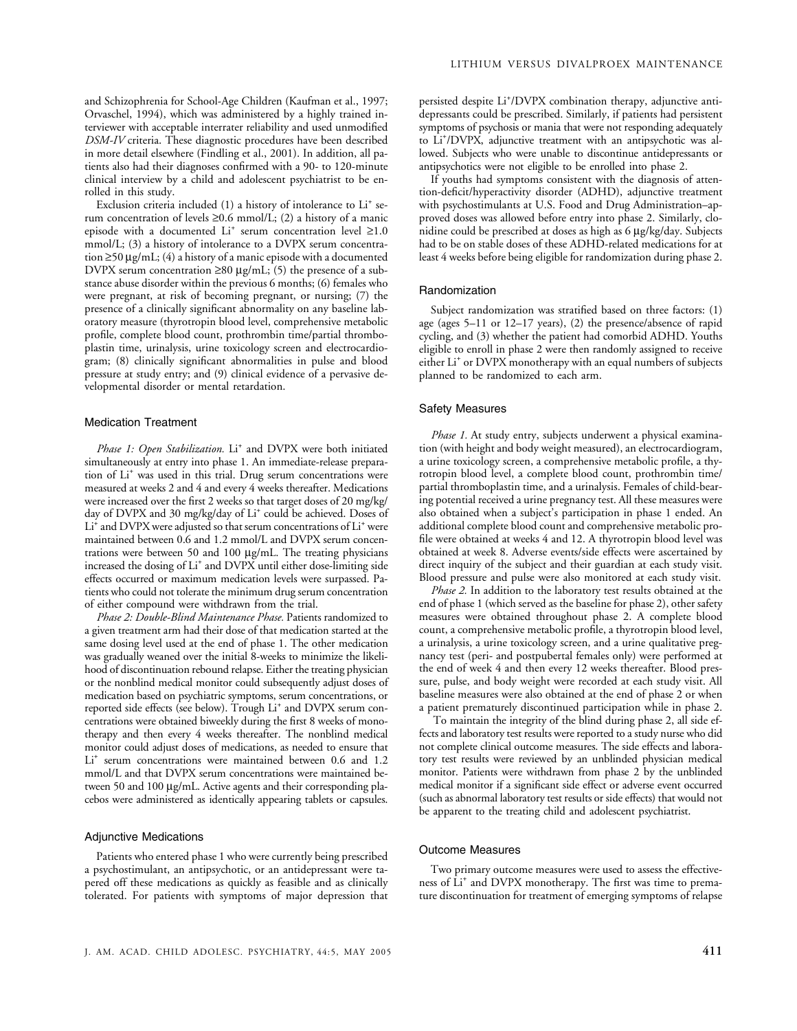and Schizophrenia for School-Age Children (Kaufman et al., 1997; Orvaschel, 1994), which was administered by a highly trained interviewer with acceptable interrater reliability and used unmodified DSM-IV criteria. These diagnostic procedures have been described in more detail elsewhere (Findling et al., 2001). In addition, all patients also had their diagnoses confirmed with a 90- to 120-minute clinical interview by a child and adolescent psychiatrist to be enrolled in this study.

Exclusion criteria included  $(1)$  a history of intolerance to  $Li<sup>+</sup>$  serum concentration of levels  $\geq 0.6$  mmol/L; (2) a history of a manic episode with a documented  $Li^{+}$  serum concentration level  $\geq 1.0$ mmol/L; (3) a history of intolerance to a DVPX serum concentration  $\geq$ 50  $\mu$ g/mL; (4) a history of a manic episode with a documented DVPX serum concentration  $\geq 80 \mu g/mL$ ; (5) the presence of a substance abuse disorder within the previous 6 months; (6) females who were pregnant, at risk of becoming pregnant, or nursing; (7) the presence of a clinically significant abnormality on any baseline laboratory measure (thyrotropin blood level, comprehensive metabolic profile, complete blood count, prothrombin time/partial thromboplastin time, urinalysis, urine toxicology screen and electrocardiogram; (8) clinically significant abnormalities in pulse and blood pressure at study entry; and (9) clinical evidence of a pervasive developmental disorder or mental retardation.

### Medication Treatment

Phase 1: Open Stabilization. Li<sup>+</sup> and DVPX were both initiated simultaneously at entry into phase 1. An immediate-release preparation of Li<sup>+</sup> was used in this trial. Drug serum concentrations were measured at weeks 2 and 4 and every 4 weeks thereafter. Medications were increased over the first 2 weeks so that target doses of 20 mg/kg/ day of DVPX and 30 mg/kg/day of Li<sup>+</sup> could be achieved. Doses of Li<sup>+</sup> and DVPX were adjusted so that serum concentrations of Li<sup>+</sup> were maintained between 0.6 and 1.2 mmol/L and DVPX serum concentrations were between 50 and 100 µg/mL. The treating physicians increased the dosing of Li<sup>+</sup> and DVPX until either dose-limiting side effects occurred or maximum medication levels were surpassed. Patients who could not tolerate the minimum drug serum concentration of either compound were withdrawn from the trial.

Phase 2: Double-Blind Maintenance Phase. Patients randomized to a given treatment arm had their dose of that medication started at the same dosing level used at the end of phase 1. The other medication was gradually weaned over the initial 8-weeks to minimize the likelihood of discontinuation rebound relapse. Either the treating physician or the nonblind medical monitor could subsequently adjust doses of medication based on psychiatric symptoms, serum concentrations, or reported side effects (see below). Trough Li<sup>+</sup> and DVPX serum concentrations were obtained biweekly during the first 8 weeks of monotherapy and then every 4 weeks thereafter. The nonblind medical monitor could adjust doses of medications, as needed to ensure that Li<sup>+</sup> serum concentrations were maintained between 0.6 and 1.2 mmol/L and that DVPX serum concentrations were maintained between 50 and 100 µg/mL. Active agents and their corresponding placebos were administered as identically appearing tablets or capsules.

#### Adjunctive Medications

Patients who entered phase 1 who were currently being prescribed a psychostimulant, an antipsychotic, or an antidepressant were tapered off these medications as quickly as feasible and as clinically tolerated. For patients with symptoms of major depression that

persisted despite Li<sup>+</sup>/DVPX combination therapy, adjunctive antidepressants could be prescribed. Similarly, if patients had persistent symptoms of psychosis or mania that were not responding adequately to Li<sup>+</sup>/DVPX, adjunctive treatment with an antipsychotic was allowed. Subjects who were unable to discontinue antidepressants or antipsychotics were not eligible to be enrolled into phase 2.

If youths had symptoms consistent with the diagnosis of attention-deficit/hyperactivity disorder (ADHD), adjunctive treatment with psychostimulants at U.S. Food and Drug Administration–approved doses was allowed before entry into phase 2. Similarly, clonidine could be prescribed at doses as high as 6 µg/kg/day. Subjects had to be on stable doses of these ADHD-related medications for at least 4 weeks before being eligible for randomization during phase 2.

#### Randomization

Subject randomization was stratified based on three factors: (1) age (ages 5–11 or 12–17 years), (2) the presence/absence of rapid cycling, and (3) whether the patient had comorbid ADHD. Youths eligible to enroll in phase 2 were then randomly assigned to receive either Li<sup>+</sup> or DVPX monotherapy with an equal numbers of subjects planned to be randomized to each arm.

### Safety Measures

Phase 1. At study entry, subjects underwent a physical examination (with height and body weight measured), an electrocardiogram, a urine toxicology screen, a comprehensive metabolic profile, a thyrotropin blood level, a complete blood count, prothrombin time/ partial thromboplastin time, and a urinalysis. Females of child-bearing potential received a urine pregnancy test. All these measures were also obtained when a subject's participation in phase 1 ended. An additional complete blood count and comprehensive metabolic profile were obtained at weeks 4 and 12. A thyrotropin blood level was obtained at week 8. Adverse events/side effects were ascertained by direct inquiry of the subject and their guardian at each study visit. Blood pressure and pulse were also monitored at each study visit.

Phase 2. In addition to the laboratory test results obtained at the end of phase 1 (which served as the baseline for phase 2), other safety measures were obtained throughout phase 2. A complete blood count, a comprehensive metabolic profile, a thyrotropin blood level, a urinalysis, a urine toxicology screen, and a urine qualitative pregnancy test (peri- and postpubertal females only) were performed at the end of week 4 and then every 12 weeks thereafter. Blood pressure, pulse, and body weight were recorded at each study visit. All baseline measures were also obtained at the end of phase 2 or when a patient prematurely discontinued participation while in phase 2.

To maintain the integrity of the blind during phase 2, all side effects and laboratory test results were reported to a study nurse who did not complete clinical outcome measures. The side effects and laboratory test results were reviewed by an unblinded physician medical monitor. Patients were withdrawn from phase 2 by the unblinded medical monitor if a significant side effect or adverse event occurred (such as abnormal laboratory test results or side effects) that would not be apparent to the treating child and adolescent psychiatrist.

#### Outcome Measures

Two primary outcome measures were used to assess the effectiveness of Li<sup>+</sup> and DVPX monotherapy. The first was time to premature discontinuation for treatment of emerging symptoms of relapse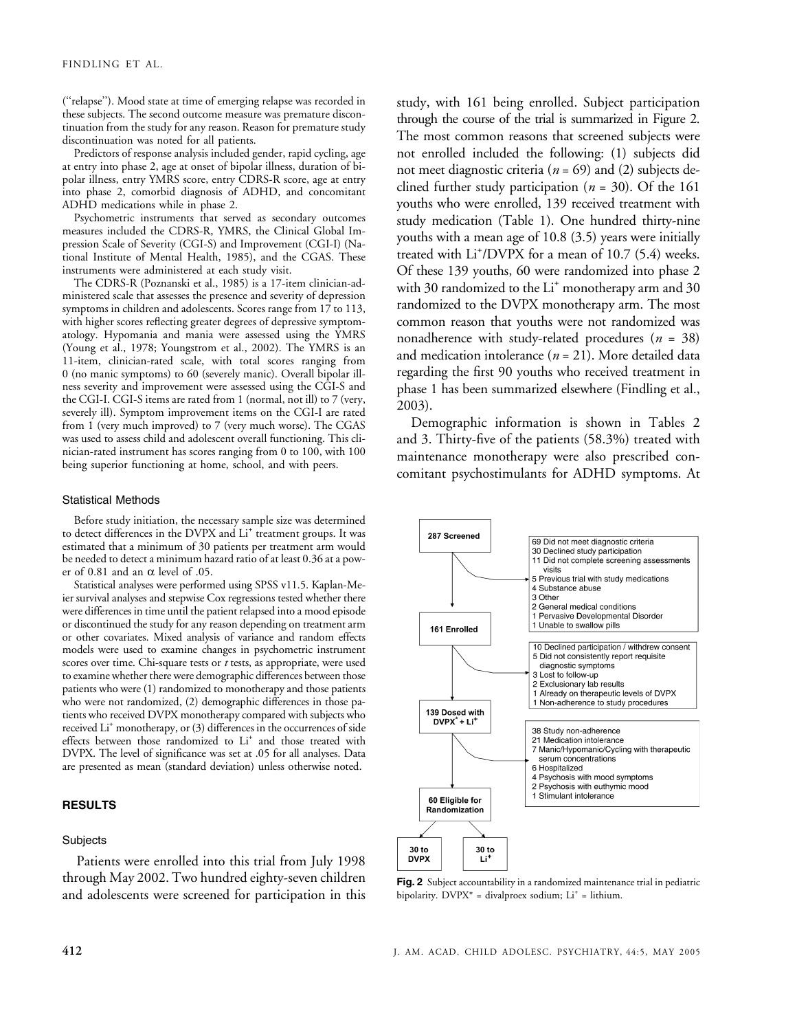(''relapse''). Mood state at time of emerging relapse was recorded in these subjects. The second outcome measure was premature discontinuation from the study for any reason. Reason for premature study discontinuation was noted for all patients.

Predictors of response analysis included gender, rapid cycling, age at entry into phase 2, age at onset of bipolar illness, duration of bipolar illness, entry YMRS score, entry CDRS-R score, age at entry into phase 2, comorbid diagnosis of ADHD, and concomitant ADHD medications while in phase 2.

Psychometric instruments that served as secondary outcomes measures included the CDRS-R, YMRS, the Clinical Global Impression Scale of Severity (CGI-S) and Improvement (CGI-I) (National Institute of Mental Health, 1985), and the CGAS. These instruments were administered at each study visit.

The CDRS-R (Poznanski et al., 1985) is a 17-item clinician-administered scale that assesses the presence and severity of depression symptoms in children and adolescents. Scores range from 17 to 113, with higher scores reflecting greater degrees of depressive symptomatology. Hypomania and mania were assessed using the YMRS (Young et al., 1978; Youngstrom et al., 2002). The YMRS is an 11-item, clinician-rated scale, with total scores ranging from 0 (no manic symptoms) to 60 (severely manic). Overall bipolar illness severity and improvement were assessed using the CGI-S and the CGI-I. CGI-S items are rated from 1 (normal, not ill) to 7 (very, severely ill). Symptom improvement items on the CGI-I are rated from 1 (very much improved) to 7 (very much worse). The CGAS was used to assess child and adolescent overall functioning. This clinician-rated instrument has scores ranging from 0 to 100, with 100 being superior functioning at home, school, and with peers.

#### Statistical Methods

Before study initiation, the necessary sample size was determined to detect differences in the DVPX and Li<sup>+</sup> treatment groups. It was estimated that a minimum of 30 patients per treatment arm would be needed to detect a minimum hazard ratio of at least 0.36 at a power of 0.81 and an  $\alpha$  level of .05.

Statistical analyses were performed using SPSS v11.5. Kaplan-Meier survival analyses and stepwise Cox regressions tested whether there were differences in time until the patient relapsed into a mood episode or discontinued the study for any reason depending on treatment arm or other covariates. Mixed analysis of variance and random effects models were used to examine changes in psychometric instrument scores over time. Chi-square tests or  $t$  tests, as appropriate, were used to examine whether there were demographic differences between those patients who were (1) randomized to monotherapy and those patients who were not randomized, (2) demographic differences in those patients who received DVPX monotherapy compared with subjects who received Li<sup>+</sup> monotherapy, or (3) differences in the occurrences of side effects between those randomized to Li<sup>+</sup> and those treated with DVPX. The level of significance was set at .05 for all analyses. Data are presented as mean (standard deviation) unless otherwise noted.

# RESULTS

# Subjects

Patients were enrolled into this trial from July 1998 through May 2002. Two hundred eighty-seven children and adolescents were screened for participation in this

study, with 161 being enrolled. Subject participation through the course of the trial is summarized in Figure 2. The most common reasons that screened subjects were not enrolled included the following: (1) subjects did not meet diagnostic criteria ( $n = 69$ ) and (2) subjects declined further study participation ( $n = 30$ ). Of the 161 youths who were enrolled, 139 received treatment with study medication (Table 1). One hundred thirty-nine youths with a mean age of 10.8 (3.5) years were initially treated with Li+ /DVPX for a mean of 10.7 (5.4) weeks. Of these 139 youths, 60 were randomized into phase 2 with 30 randomized to the Li<sup>+</sup> monotherapy arm and 30 randomized to the DVPX monotherapy arm. The most common reason that youths were not randomized was nonadherence with study-related procedures ( $n = 38$ ) and medication intolerance ( $n = 21$ ). More detailed data regarding the first 90 youths who received treatment in phase 1 has been summarized elsewhere (Findling et al., 2003).

Demographic information is shown in Tables 2 and 3. Thirty-five of the patients (58.3%) treated with maintenance monotherapy were also prescribed concomitant psychostimulants for ADHD symptoms. At



Fig. 2 Subject accountability in a randomized maintenance trial in pediatric bipolarity. DVPX\* = divalproex sodium;  $Li^*$  = lithium.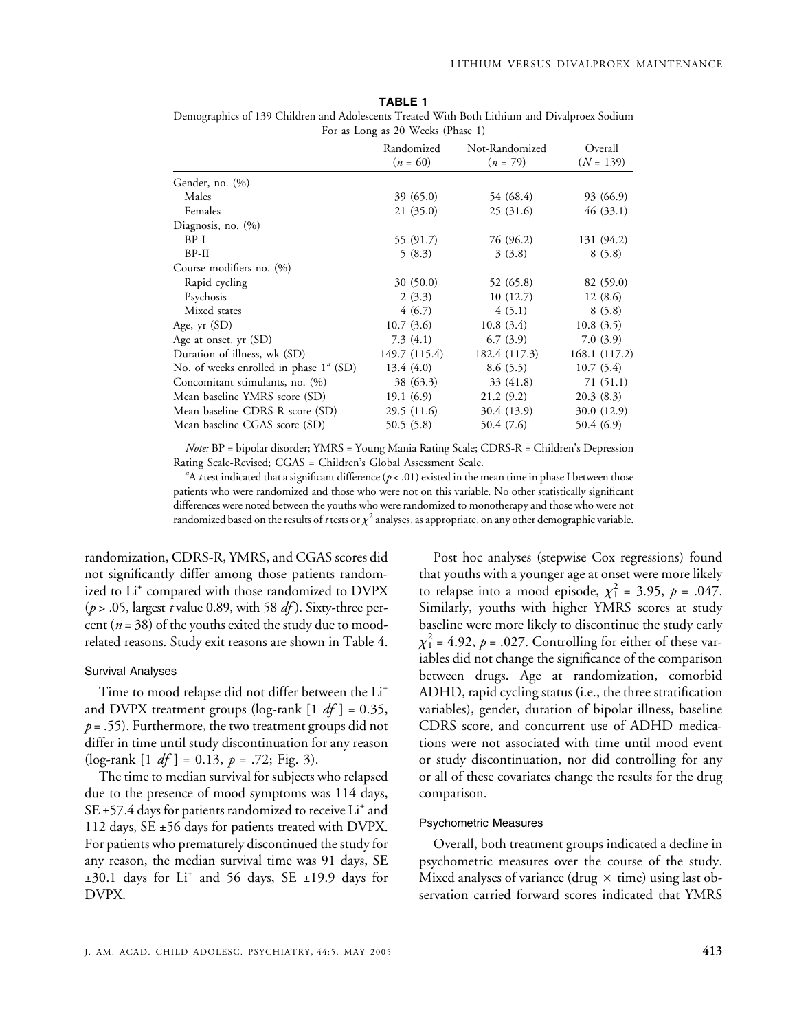# TABLE 1

| Demographics of 139 Children and Adolescents Treated With Both Lithium and Divalproex Sodium |                                   |  |
|----------------------------------------------------------------------------------------------|-----------------------------------|--|
|                                                                                              | For as Long as 20 Weeks (Phase 1) |  |

|                                           | ပ             |                |               |
|-------------------------------------------|---------------|----------------|---------------|
|                                           | Randomized    | Not-Randomized | Overall       |
|                                           | $(n = 60)$    | $(n = 79)$     | $(N = 139)$   |
| Gender, no. (%)                           |               |                |               |
| Males                                     | 39(65.0)      | 54 (68.4)      | 93 (66.9)     |
| Females                                   | 21(35.0)      | 25(31.6)       | 46 (33.1)     |
| Diagnosis, no. (%)                        |               |                |               |
| $BP-I$                                    | 55 (91.7)     | 76 (96.2)      | 131 (94.2)    |
| $BP-II$                                   | 5(8.3)        | 3(3.8)         | 8(5.8)        |
| Course modifiers no. (%)                  |               |                |               |
| Rapid cycling                             | 30(50.0)      | 52 (65.8)      | 82 (59.0)     |
| Psychosis                                 | 2(3.3)        | 10(12.7)       | 12(8.6)       |
| Mixed states                              | 4(6.7)        | 4(5.1)         | 8(5.8)        |
| Age, yr (SD)                              | 10.7(3.6)     | 10.8(3.4)      | 10.8(3.5)     |
| Age at onset, yr (SD)                     | 7.3(4.1)      | 6.7(3.9)       | 7.0(3.9)      |
| Duration of illness, wk (SD)              | 149.7 (115.4) | 182.4 (117.3)  | 168.1 (117.2) |
| No. of weeks enrolled in phase $1^a$ (SD) | 13.4(4.0)     | 8.6(5.5)       | 10.7(5.4)     |
| Concomitant stimulants, no. (%)           | 38 (63.3)     | 33 (41.8)      | 71(51.1)      |
| Mean baseline YMRS score (SD)             | 19.1(6.9)     | 21.2(9.2)      | 20.3(8.3)     |
| Mean baseline CDRS-R score (SD)           | 29.5(11.6)    | 30.4 (13.9)    | 30.0 (12.9)   |
| Mean baseline CGAS score (SD)             | 50.5(5.8)     | 50.4 (7.6)     | 50.4 (6.9)    |

Note: BP = bipolar disorder; YMRS = Young Mania Rating Scale; CDRS-R = Children's Depression Rating Scale-Revised; CGAS = Children's Global Assessment Scale.

 $A$  t test indicated that a significant difference ( $p < .01$ ) existed in the mean time in phase I between those patients who were randomized and those who were not on this variable. No other statistically significant differences were noted between the youths who were randomized to monotherapy and those who were not randomized based on the results of *t* tests or  $\chi^2$  analyses, as appropriate, on any other demographic variable.

randomization, CDRS-R, YMRS, and CGAS scores did not significantly differ among those patients randomized to Li<sup>+</sup> compared with those randomized to DVPX ( $p > .05$ , largest *t* value 0.89, with 58 *df*). Sixty-three percent ( $n = 38$ ) of the youths exited the study due to moodrelated reasons. Study exit reasons are shown in Table 4.

## Survival Analyses

Time to mood relapse did not differ between the Li<sup>+</sup> and DVPX treatment groups (log-rank  $[1 \, df] = 0.35$ ,  $p = .55$ ). Furthermore, the two treatment groups did not differ in time until study discontinuation for any reason (log-rank  $[1 \text{ df}] = 0.13$ ,  $p = .72$ ; Fig. 3).

The time to median survival for subjects who relapsed due to the presence of mood symptoms was 114 days, SE  $\pm$  57.4 days for patients randomized to receive Li<sup>+</sup> and 112 days, SE ±56 days for patients treated with DVPX. For patients who prematurely discontinued the study for any reason, the median survival time was 91 days, SE  $\pm 30.1$  days for Li<sup>+</sup> and 56 days, SE  $\pm 19.9$  days for DVPX.

Post hoc analyses (stepwise Cox regressions) found that youths with a younger age at onset were more likely to relapse into a mood episode,  $\chi_1^2 = 3.95$ ,  $p = .047$ . Similarly, youths with higher YMRS scores at study baseline were more likely to discontinue the study early  $\chi_1^2$  = 4.92,  $p$  = .027. Controlling for either of these variables did not change the significance of the comparison between drugs. Age at randomization, comorbid ADHD, rapid cycling status (i.e., the three stratification variables), gender, duration of bipolar illness, baseline CDRS score, and concurrent use of ADHD medications were not associated with time until mood event or study discontinuation, nor did controlling for any or all of these covariates change the results for the drug comparison.

# Psychometric Measures

Overall, both treatment groups indicated a decline in psychometric measures over the course of the study. Mixed analyses of variance (drug  $\times$  time) using last observation carried forward scores indicated that YMRS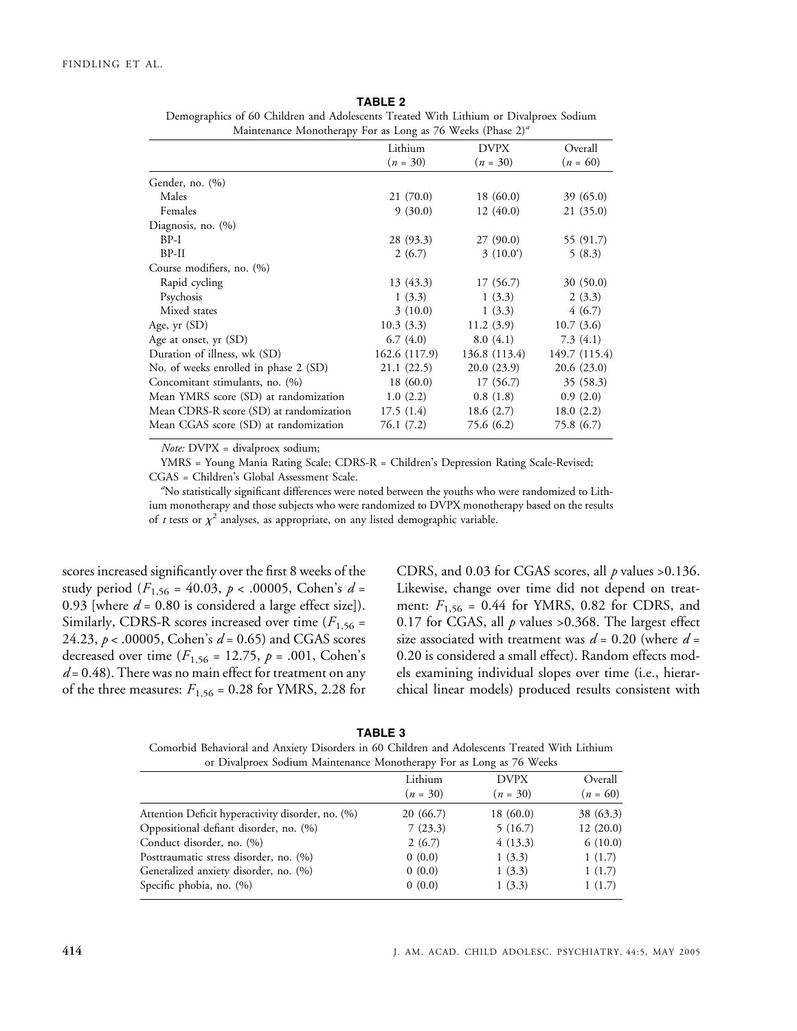| Maintenance Monotherapy For as Long as 76 Weeks (Phase 2) <sup>a</sup> |               |                   |               |  |
|------------------------------------------------------------------------|---------------|-------------------|---------------|--|
|                                                                        | Lithium       | <b>DVPX</b>       | Overall       |  |
|                                                                        | $(n = 30)$    | $(n = 30)$        | $(n = 60)$    |  |
| Gender, no. (%)                                                        |               |                   |               |  |
| Males                                                                  | 21(70.0)      | 18(60.0)          | 39(65.0)      |  |
| Females                                                                | 9(30.0)       | 12(40.0)          | 21(35.0)      |  |
| Diagnosis, no. (%)                                                     |               |                   |               |  |
| $BP-I$                                                                 | 28 (93.3)     | 27 (90.0)         | 55 (91.7)     |  |
| $BP-II$                                                                | 2(6.7)        | $3(10.0^{\circ})$ | 5(8.3)        |  |
| Course modifiers, no. (%)                                              |               |                   |               |  |
| Rapid cycling                                                          | 13(43.3)      | 17 (56.7)         | 30(50.0)      |  |
| Psychosis                                                              | 1(3.3)        | 1(3.3)            | 2(3.3)        |  |
| Mixed states                                                           | 3(10.0)       | 1(3.3)            | 4(6.7)        |  |
| Age, yr (SD)                                                           | 10.3(3.3)     | 11.2(3.9)         | 10.7(3.6)     |  |
| Age at onset, yr (SD)                                                  | 6.7(4.0)      | 8.0(4.1)          | 7.3(4.1)      |  |
| Duration of illness, wk (SD)                                           | 162.6 (117.9) | 136.8 (113.4)     | 149.7 (115.4) |  |
| No. of weeks enrolled in phase 2 (SD)                                  | 21.1(22.5)    | 20.0(23.9)        | 20.6(23.0)    |  |
| Concomitant stimulants, no. (%)                                        | 18(60.0)      | 17(56.7)          | 35 (58.3)     |  |
| Mean YMRS score (SD) at randomization                                  | 1.0(2.2)      | 0.8(1.8)          | 0.9(2.0)      |  |
| Mean CDRS-R score (SD) at randomization                                | 17.5(1.4)     | 18.6 $(2.7)$      | 18.0(2.2)     |  |
| Mean CGAS score (SD) at randomization                                  | 76.1 (7.2)    | 75.6 (6.2)        | 75.8(6.7)     |  |
|                                                                        |               |                   |               |  |

TABLE 2 Demographics of 60 Children and Adolescents Treated With Lithium or Divalproex Sodium

Note: DVPX = divalproex sodium;

YMRS = Young Mania Rating Scale; CDRS-R = Children's Depression Rating Scale-Revised; CGAS = Children's Global Assessment Scale.

No statistically significant differences were noted between the youths who were randomized to Lithium monotherapy and those subjects who were randomized to DVPX monotherapy based on the results of *t* tests or  $\chi^2$  analyses, as appropriate, on any listed demographic variable.

scores increased significantly over the first 8 weeks of the study period ( $F_{1,56}$  = 40.03,  $p < .00005$ , Cohen's  $d =$ 0.93 [where  $d = 0.80$  is considered a large effect size]). Similarly, CDRS-R scores increased over time  $(F_{1,56} =$ 24.23,  $p < .00005$ , Cohen's  $d = 0.65$ ) and CGAS scores decreased over time ( $F_{1,56} = 12.75$ ,  $p = .001$ , Cohen's  $d = 0.48$ ). There was no main effect for treatment on any of the three measures:  $F_{1,56}$  = 0.28 for YMRS, 2.28 for

CDRS, and 0.03 for CGAS scores, all  $p$  values >0.136. Likewise, change over time did not depend on treatment:  $F_{1,56}$  = 0.44 for YMRS, 0.82 for CDRS, and 0.17 for CGAS, all  $p$  values >0.368. The largest effect size associated with treatment was  $d = 0.20$  (where  $d =$ 0.20 is considered a small effect). Random effects models examining individual slopes over time (i.e., hierarchical linear models) produced results consistent with

| └<br>. .<br>u |
|---------------|
|---------------|

Comorbid Behavioral and Anxiety Disorders in 60 Children and Adolescents Treated With Lithium or Divalproex Sodium Maintenance Monotherapy For as Long as 76 Weeks

|                                                   | Lithium    | <b>DVPX</b> | Overall    |
|---------------------------------------------------|------------|-------------|------------|
|                                                   | $(n = 30)$ | $(n = 30)$  | $(n = 60)$ |
| Attention Deficit hyperactivity disorder, no. (%) | 20(66.7)   | 18(60.0)    | 38 (63.3)  |
| Oppositional defiant disorder, no. (%)            | 7(23.3)    | 5(16.7)     | 12(20.0)   |
| Conduct disorder, no. (%)                         | 2(6.7)     | 4(13.3)     | 6(10.0)    |
| Posttraumatic stress disorder, no. (%)            | 0(0.0)     | 1(3.3)      | 1(1.7)     |
| Generalized anxiety disorder, no. (%)             | 0(0.0)     | 1(3.3)      | 1(1.7)     |
| Specific phobia, no. (%)                          | 0(0.0)     | 1(3.3)      | 1(1.7)     |
|                                                   |            |             |            |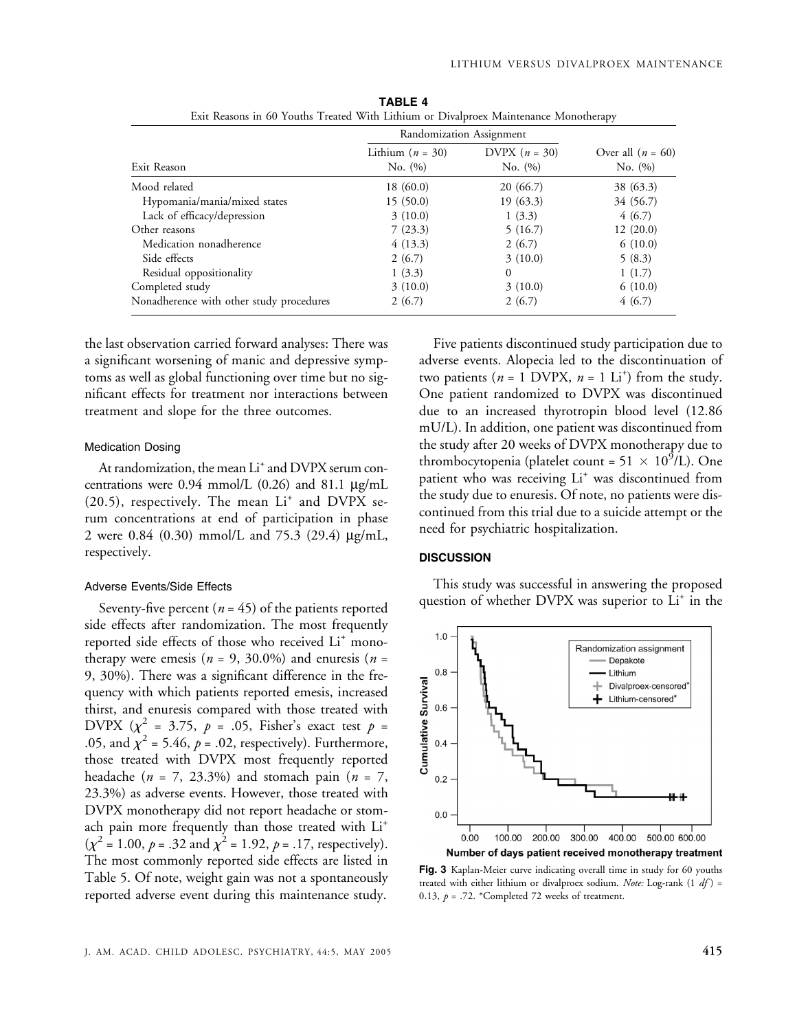|                                          |                               |                            | $\sqrt{2}$                     |  |
|------------------------------------------|-------------------------------|----------------------------|--------------------------------|--|
|                                          | Randomization Assignment      |                            |                                |  |
| Exit Reason                              | Lithium $(n = 30)$<br>No. (%) | DVPX $(n = 30)$<br>No. (%) | Over all $(n = 60)$<br>No. (%) |  |
| Mood related                             | 18(60.0)                      | 20(66.7)                   | 38 (63.3)                      |  |
| Hypomania/mania/mixed states             | 15(50.0)                      | 19(63.3)                   | 34 (56.7)                      |  |
| Lack of efficacy/depression              | 3(10.0)                       | 1(3.3)                     | 4(6.7)                         |  |
| Other reasons                            | 7(23.3)                       | 5(16.7)                    | 12(20.0)                       |  |
| Medication nonadherence                  | 4(13.3)                       | 2(6.7)                     | 6(10.0)                        |  |
| Side effects                             | 2(6.7)                        | 3(10.0)                    | 5(8.3)                         |  |
| Residual oppositionality                 | 1(3.3)                        | $\left($                   | 1(1.7)                         |  |
| Completed study                          | 3(10.0)                       | 3(10.0)                    | 6(10.0)                        |  |
| Nonadherence with other study procedures | 2(6.7)                        | 2(6.7)                     | 4(6.7)                         |  |

TABLE 4 Exit Reasons in 60 Youths Treated With Lithium or Divalproex Maintenance Monotherapy

the last observation carried forward analyses: There was a significant worsening of manic and depressive symptoms as well as global functioning over time but no significant effects for treatment nor interactions between treatment and slope for the three outcomes.

# Medication Dosing

At randomization, the mean Li<sup>+</sup> and DVPX serum concentrations were  $0.94 \text{ mmol/L}$  (0.26) and 81.1  $\mu$ g/mL  $(20.5)$ , respectively. The mean  $Li<sup>+</sup>$  and DVPX serum concentrations at end of participation in phase 2 were 0.84 (0.30) mmol/L and 75.3 (29.4)  $\mu$ g/mL, respectively.

## Adverse Events/Side Effects

Seventy-five percent ( $n = 45$ ) of the patients reported side effects after randomization. The most frequently reported side effects of those who received Li<sup>+</sup> monotherapy were emesis ( $n = 9, 30.0\%$ ) and enuresis ( $n =$ 9, 30%). There was a significant difference in the frequency with which patients reported emesis, increased thirst, and enuresis compared with those treated with DVPX  $(\chi^2 = 3.75, p = .05,$  Fisher's exact test  $p =$ .05, and  $\chi^2$  = 5.46,  $p = .02$ , respectively). Furthermore, those treated with DVPX most frequently reported headache ( $n = 7, 23.3\%$ ) and stomach pain ( $n = 7$ , 23.3%) as adverse events. However, those treated with DVPX monotherapy did not report headache or stomach pain more frequently than those treated with Li<sup>+</sup>  $(\chi^2 = 1.00, p = .32 \text{ and } \chi^2 = 1.92, p = .17 \text{, respectively).}$ The most commonly reported side effects are listed in Table 5. Of note, weight gain was not a spontaneously reported adverse event during this maintenance study.

Five patients discontinued study participation due to adverse events. Alopecia led to the discontinuation of two patients ( $n = 1$  DVPX,  $n = 1$  Li<sup>+</sup>) from the study. One patient randomized to DVPX was discontinued due to an increased thyrotropin blood level (12.86 mU/L). In addition, one patient was discontinued from the study after 20 weeks of DVPX monotherapy due to thrombocytopenia (platelet count = 51  $\,\times\,{10}^{9}$ /L). One patient who was receiving Li<sup>+</sup> was discontinued from the study due to enuresis. Of note, no patients were discontinued from this trial due to a suicide attempt or the need for psychiatric hospitalization.

# **DISCUSSION**

This study was successful in answering the proposed question of whether DVPX was superior to Li<sup>+</sup> in the



Fig. 3 Kaplan-Meier curve indicating overall time in study for 60 youths treated with either lithium or divalproex sodium. Note: Log-rank  $(1 \text{ df})$  = 0.13,  $p = .72$ . \*Completed 72 weeks of treatment.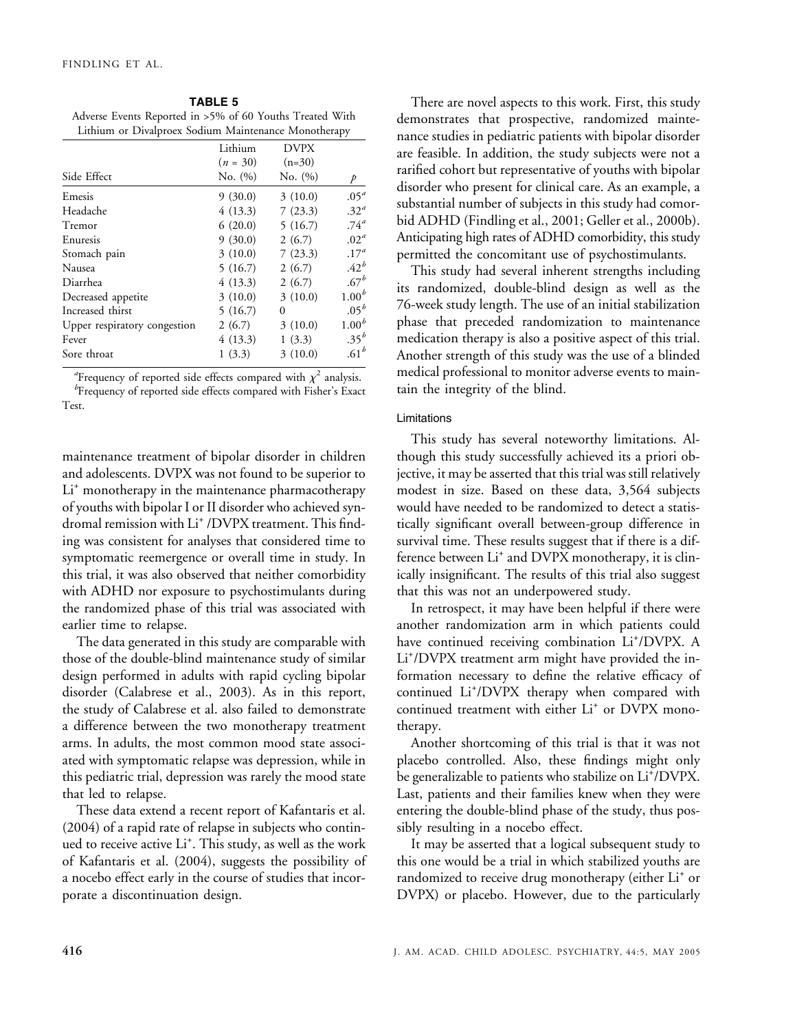TABLE 5 Adverse Events Reported in >5% of 60 Youths Treated With Lithium or Divalproex Sodium Maintenance Monotherapy

|                              | Lithium    | <b>DVPX</b> |                  |
|------------------------------|------------|-------------|------------------|
|                              | $(n = 30)$ | $(n=30)$    |                  |
| Side Effect                  | No. (%)    | No. $(\% )$ | p                |
| Emesis                       | 9(30.0)    | 3(10.0)     | .05 <sup>a</sup> |
| Headache                     | 4(13.3)    | 7(23.3)     | .32 <sup>a</sup> |
| Tremor                       | 6(20.0)    | 5(16.7)     | $.74^{a}$        |
| Enuresis                     | 9(30.0)    | 2(6.7)      | .02 <sup>a</sup> |
| Stomach pain                 | 3(10.0)    | 7(23.3)     | $.17^{a}$        |
| Nausea                       | 5(16.7)    | 2(6.7)      | $.42^{b}$        |
| Diarrhea                     | 4(13.3)    | 2(6.7)      | $.67^{b}$        |
| Decreased appetite           | 3(10.0)    | 3(10.0)     | $1.00^{b}$       |
| Increased thirst             | 5(16.7)    | $\theta$    | .05 <sup>b</sup> |
| Upper respiratory congestion | 2(6.7)     | 3(10.0)     | $1.00^{b}$       |
| Fever                        | 4(13.3)    | 1(3.3)      | $.35^{b}$        |
| Sore throat                  | 1(3.3)     | 3(10.0)     | $.61^{b}$        |

"Frequency of reported side effects compared with  $\chi^2$  analysis.<br>"Frequency of reported side effects compared with Eicher's Exact

Frequency of reported side effects compared with Fisher's Exact Test.

maintenance treatment of bipolar disorder in children and adolescents. DVPX was not found to be superior to Li<sup>+</sup> monotherapy in the maintenance pharmacotherapy of youths with bipolar I or II disorder who achieved syndromal remission with Li<sup>+</sup>/DVPX treatment. This finding was consistent for analyses that considered time to symptomatic reemergence or overall time in study. In this trial, it was also observed that neither comorbidity with ADHD nor exposure to psychostimulants during the randomized phase of this trial was associated with earlier time to relapse.

The data generated in this study are comparable with those of the double-blind maintenance study of similar design performed in adults with rapid cycling bipolar disorder (Calabrese et al., 2003). As in this report, the study of Calabrese et al. also failed to demonstrate a difference between the two monotherapy treatment arms. In adults, the most common mood state associated with symptomatic relapse was depression, while in this pediatric trial, depression was rarely the mood state that led to relapse.

These data extend a recent report of Kafantaris et al. (2004) of a rapid rate of relapse in subjects who continued to receive active Li<sup>+</sup>. This study, as well as the work of Kafantaris et al. (2004), suggests the possibility of a nocebo effect early in the course of studies that incorporate a discontinuation design.

There are novel aspects to this work. First, this study demonstrates that prospective, randomized maintenance studies in pediatric patients with bipolar disorder are feasible. In addition, the study subjects were not a rarified cohort but representative of youths with bipolar disorder who present for clinical care. As an example, a substantial number of subjects in this study had comorbid ADHD (Findling et al., 2001; Geller et al., 2000b). Anticipating high rates of ADHD comorbidity, this study permitted the concomitant use of psychostimulants.

This study had several inherent strengths including its randomized, double-blind design as well as the 76-week study length. The use of an initial stabilization phase that preceded randomization to maintenance medication therapy is also a positive aspect of this trial. Another strength of this study was the use of a blinded medical professional to monitor adverse events to maintain the integrity of the blind.

# Limitations

This study has several noteworthy limitations. Although this study successfully achieved its a priori objective, it may be asserted that this trial was still relatively modest in size. Based on these data, 3,564 subjects would have needed to be randomized to detect a statistically significant overall between-group difference in survival time. These results suggest that if there is a difference between Li<sup>+</sup> and DVPX monotherapy, it is clinically insignificant. The results of this trial also suggest that this was not an underpowered study.

In retrospect, it may have been helpful if there were another randomization arm in which patients could have continued receiving combination Li<sup>+</sup>/DVPX. A Li<sup>+</sup>/DVPX treatment arm might have provided the information necessary to define the relative efficacy of continued Li<sup>+</sup>/DVPX therapy when compared with continued treatment with either Li<sup>+</sup> or DVPX monotherapy.

Another shortcoming of this trial is that it was not placebo controlled. Also, these findings might only .<br>be generalizable to patients who stabilize on Li<sup>+</sup>/DVPX. Last, patients and their families knew when they were entering the double-blind phase of the study, thus possibly resulting in a nocebo effect.

It may be asserted that a logical subsequent study to this one would be a trial in which stabilized youths are randomized to receive drug monotherapy (either Li<sup>+</sup> or DVPX) or placebo. However, due to the particularly